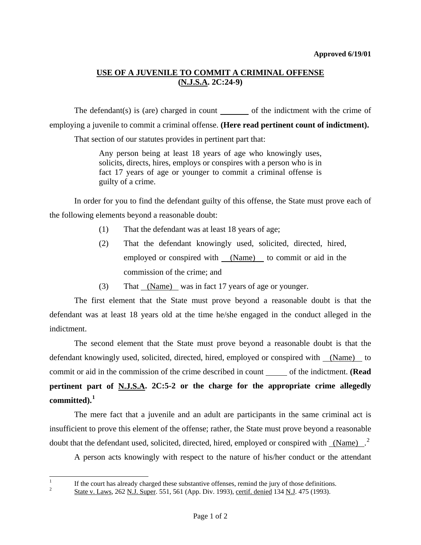## **USE OF A JUVENILE TO COMMIT A CRIMINAL OFFENSE (N.J.S.A. 2C:24-9)**

The defendant(s) is (are) charged in count  $\_\_\_\_$  of the indictment with the crime of employing a juvenile to commit a criminal offense. **(Here read pertinent count of indictment).**

That section of our statutes provides in pertinent part that:

Any person being at least 18 years of age who knowingly uses, solicits, directs, hires, employs or conspires with a person who is in fact 17 years of age or younger to commit a criminal offense is guilty of a crime.

 In order for you to find the defendant guilty of this offense, the State must prove each of the following elements beyond a reasonable doubt:

- (1) That the defendant was at least 18 years of age;
- (2) That the defendant knowingly used, solicited, directed, hired, employed or conspired with (Name) to commit or aid in the commission of the crime; and
- (3) That (Name) was in fact 17 years of age or younger.

 The first element that the State must prove beyond a reasonable doubt is that the defendant was at least 18 years old at the time he/she engaged in the conduct alleged in the indictment.

 The second element that the State must prove beyond a reasonable doubt is that the defendant knowingly used, solicited, directed, hired, employed or conspired with (Name) to commit or aid in the commission of the crime described in count of the indictment. **(Read pertinent part of N.J.S.A. 2C:5-2 or the charge for the appropriate crime allegedly committed).[1](#page-0-0)**

 The mere fact that a juvenile and an adult are participants in the same criminal act is insufficient to prove this element of the offense; rather, the State must prove beyond a reasonable doubt that the defendant used, solicited, directed, hired, employed or conspired with  $(Name)^2$  $(Name)^2$ 

A person acts knowingly with respect to the nature of his/her conduct or the attendant

 $\frac{1}{1}$ If the court has already charged these substantive offenses, remind the jury of those definitions.

<span id="page-0-1"></span><span id="page-0-0"></span><sup>2</sup> State v. Laws, 262 N.J. Super. 551, 561 (App. Div. 1993), certif. denied 134 N.J. 475 (1993).